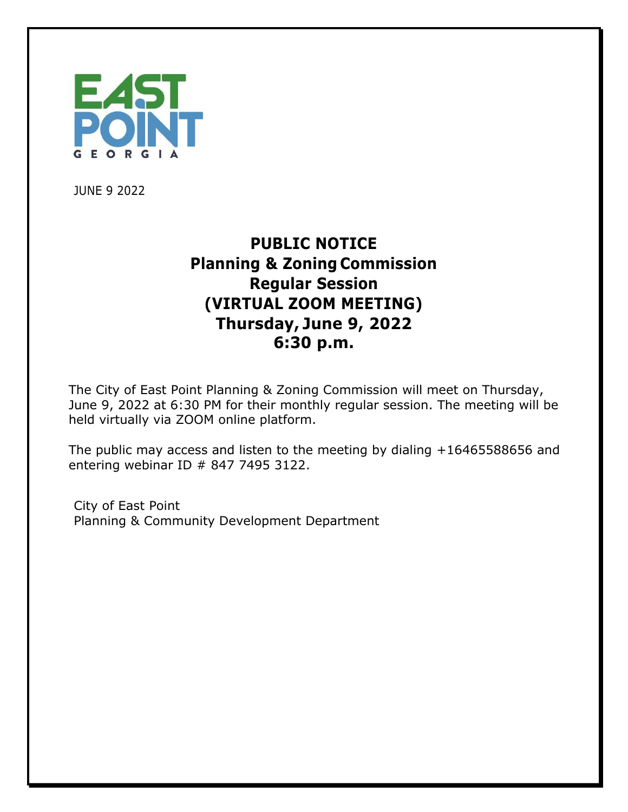

JUNE 9 2022

## **PUBLIC NOTICE Planning & Zoning Commission Regular Session (VIRTUAL ZOOM MEETING) Thursday, June 9, 2022 6:30 p.m.**

The City of East Point Planning & Zoning Commission will meet on Thursday, June 9, 2022 at 6:30 PM for their monthly regular session. The meeting will be held virtually via ZOOM online platform.

The public may access and listen to the meeting by dialing +16465588656 and entering webinar ID # 847 7495 3122.

City of East Point Planning & Community Development Department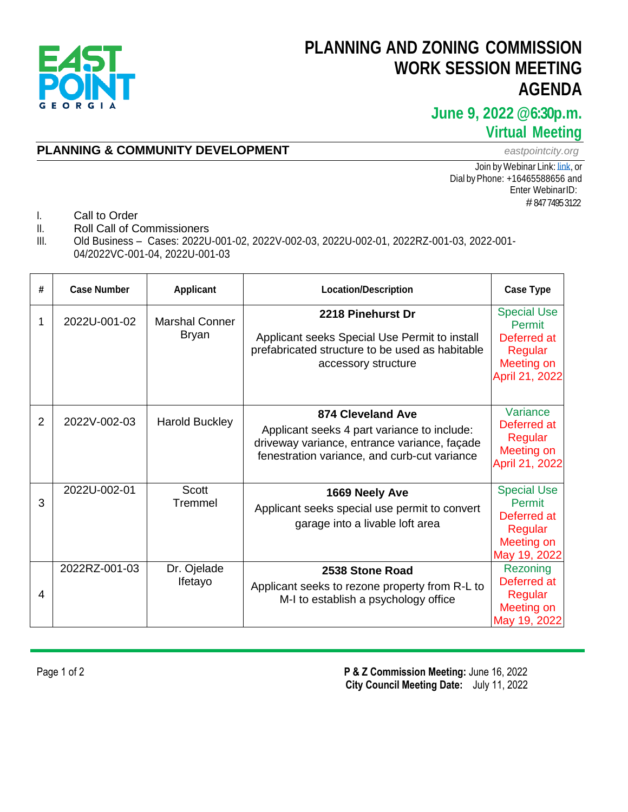

## **PLANNING AND ZONING COMMISSION WORK SESSION MEETING AGENDA**

### **June 9, 2022 @6:30p.m. Virtual Meeting**

#### **PLANNING & COMMUNITY DEVELOPMENT** *eastpointcity.org*

Join by Webinar Link: Link, or Dial byPhone: +16465588656 and Enter WebinarID: # 847 7495 3122

- I. Call to Order
- II. Roll Call of Commissioners
- III. Old Business Cases: 2022U-001-02, 2022V-002-03, 2022U-002-01, 2022RZ-001-03, 2022-001- 04/2022VC-001-04, 2022U-001-03

| # | <b>Case Number</b> | <b>Applicant</b>               | <b>Location/Description</b>                                                                                                                                             | <b>Case Type</b>                                                                       |
|---|--------------------|--------------------------------|-------------------------------------------------------------------------------------------------------------------------------------------------------------------------|----------------------------------------------------------------------------------------|
| 1 | 2022U-001-02       | <b>Marshal Conner</b><br>Bryan | 2218 Pinehurst Dr<br>Applicant seeks Special Use Permit to install<br>prefabricated structure to be used as habitable<br>accessory structure                            | <b>Special Use</b><br>Permit<br>Deferred at<br>Regular<br>Meeting on<br>April 21, 2022 |
| 2 | 2022V-002-03       | <b>Harold Buckley</b>          | <b>874 Cleveland Ave</b><br>Applicant seeks 4 part variance to include:<br>driveway variance, entrance variance, façade<br>fenestration variance, and curb-cut variance | Variance<br>Deferred at<br>Regular<br>Meeting on<br>April 21, 2022                     |
| 3 | 2022U-002-01       | <b>Scott</b><br>Tremmel        | 1669 Neely Ave<br>Applicant seeks special use permit to convert<br>garage into a livable loft area                                                                      | <b>Special Use</b><br>Permit<br>Deferred at<br>Regular<br>Meeting on<br>May 19, 2022   |
| 4 | 2022RZ-001-03      | Dr. Ojelade<br>Ifetayo         | 2538 Stone Road<br>Applicant seeks to rezone property from R-L to<br>M-I to establish a psychology office                                                               | Rezoning<br>Deferred at<br>Regular<br>Meeting on<br>May 19, 2022                       |

Page 1 of 2 **P & Z Commission Meeting:** June 16, 2022  **City Council Meeting Date:** July 11, 2022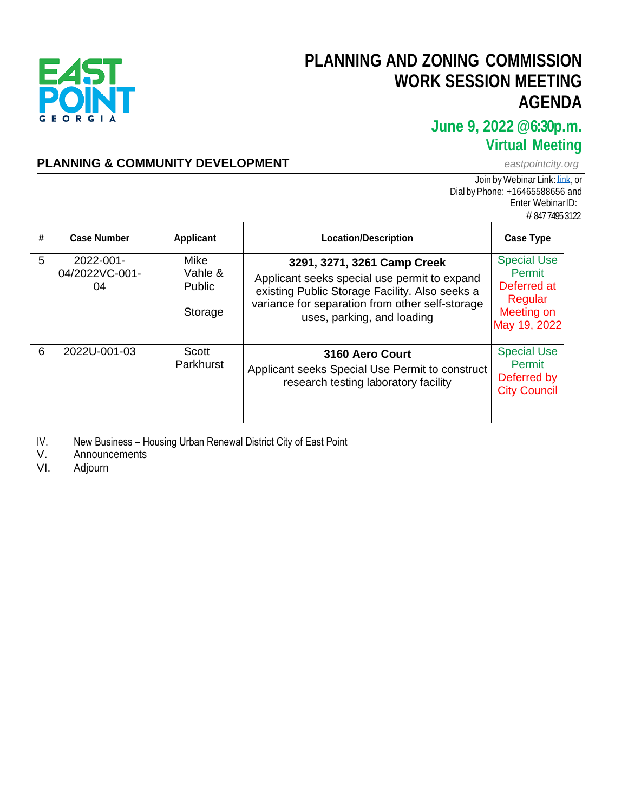

# **PLANNING AND ZONING COMMISSION WORK SESSION MEETING AGENDA**

### **June 9, 2022 @6:30p.m. Virtual Meeting**

### **PLANNING & COMMUNITY DEVELOPMENT** *eastpointcity.org*

Join by Webinar Link: [link,](https://us02web.zoom.us/j/84774953122) or Dial byPhone: +16465588656 and Enter WebinarID: # 847 7495 3122

| # | <b>Case Number</b>                | <b>Applicant</b>                            | <b>Location/Description</b>                                                                                                                                                                                    | <b>Case Type</b>                                                                     |
|---|-----------------------------------|---------------------------------------------|----------------------------------------------------------------------------------------------------------------------------------------------------------------------------------------------------------------|--------------------------------------------------------------------------------------|
| 5 | 2022-001-<br>04/2022VC-001-<br>04 | <b>Mike</b><br>Vahle &<br>Public<br>Storage | 3291, 3271, 3261 Camp Creek<br>Applicant seeks special use permit to expand<br>existing Public Storage Facility. Also seeks a<br>variance for separation from other self-storage<br>uses, parking, and loading | <b>Special Use</b><br>Permit<br>Deferred at<br>Regular<br>Meeting on<br>May 19, 2022 |
| 6 | 2022U-001-03                      | Scott<br>Parkhurst                          | 3160 Aero Court<br>Applicant seeks Special Use Permit to construct<br>research testing laboratory facility                                                                                                     | <b>Special Use</b><br>Permit<br>Deferred by<br><b>City Council</b>                   |

IV. New Business – Housing Urban Renewal District City of East Point<br>V. Announcements

V. Announcements<br>VI. Adjourn

Adjourn